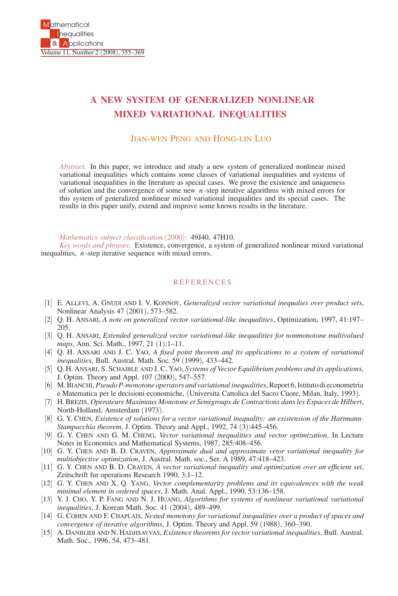## **A NEW SYSTEM OF GENERALIZED NONLINEAR MIXED VARIATIONAL INEQUALITIES**

## JIAN-WEN PENG AND HONG-LIN LUO

*Abstract.* In this paper, we introduce and study a new system of generalized nonlinear mixed variational inequalities which contains some classes of variational inequalities and systems of variational inequalities in the literature as special cases. We prove the existence and uniqueness of solution and the convergence of some new *n* -step iterative algorithms with mixed errors for this system of generalized nonlinear mixed variational inequalities and its special cases. The results in this paper unify, extend and improve some known results in the literature.

## *Mathematics subject classification* (2000): 49J40, 47H10.

*Key words and phrases*: Existence, convergence, a system of generalized nonlinear mixed variational inequalities, *n* -step iterative sequence with mixed errors.

## **REFERENCES**

- [1] E. ALLEVI, A. GNUDI AND I. V. KONNOV, *Generalized vector variational inequalies over product sets*, Nonlinear Analysis 47 (2001), 573–582.
- [2] Q. H. ANSARI, *A note on generalized vector variational-like inequalities*, Optimization, 1997, 41:197– 205.
- [3] Q. H. ANSARI, *Extended generalized vector variational-like inequalities for nonmonotone multivalued maps*, Ann. Sci. Math., 1997, 21 (1):1–11.
- [4] Q. H. ANSARI AND J. C. YAO, *A fixed point theorem and its applications to a system of variational inequalities*, Bull. Austral. Math. Soc. 59 (1999), 433–442.
- [5] Q. H. ANSARI, S. SCHAIBLE AND J. C. YAO, *Systems of Vector Equilibrium problems and its applications*, J. Optim. Theory and Appl. 107 (2000), 547–557.
- [6] M. BIANCHI, *Pseudo P-monotone operators and variational inequalities*, Report 6, Istituto di econometria e Matematica per le decisioni economiche, (Universita Cattolica del Sacro Cuore, Milan, Italy, 1993).
- [7] H. BREZIS, *Operateurs Maximaux Monotone et Semigroups de Contractions dans les Espaces de Hilbert*, North-Holland, Amsterdam (1973).
- [8] G. Y. CHEN, *Existence of solutions for a vector variational inequality: an existension of the Hartmann-Stampacchia theorem*, J. Optim. Theory and Appl., 1992, 74 (3):445–456.
- [9] G. Y. CHEN AND G. M. CHENG, *Vector variational inequalities and vector optimization*, In Lecture Notes in Economics and Mathematical Systems, 1987, 285:408–456.
- [10] G. Y. CHEN AND B. D. CRAVEN, *Approximate dual and approximate vetor variational inequality for multiobjective optimization*, J. Austral. Math. soc., Ser. A 1989, 47:418–423.
- [11] G. Y. CHEN AND B. D. CRAVEN, *A vector variational inequality and optimization over an efficient set*, Zeitschrift fur operations Research 1990, 3:1–12.
- [12] G. Y. CHEN AND X. Q. YANG, *Vector complementarity problems and its equivalences with the weak minimal element in ordered spaces*, J. Math. Anal. Appl., 1990, 53:136–158.
- [13] Y. J. CHO, Y. P. FANG AND N. J. HUANG, *Algorithms for systems of nonlinear variational variational inequalities*, J. Korean Math. Soc. 41 (2004), 489–499.
- [14] G. COHEN AND F. CHAPLAIS, *Nested monotony for variational inequalities over a product of spaces and convergence of iterative algorithms*, J. Optim. Theory and Appl. 59 (1988), 360–390.
- [15] A. DANIILIDI AND N. HADJISAVVAS, *Existence theorems for vector variational inequalities*, Bull. Austral. Math. Soc., 1996, 54, 473–481.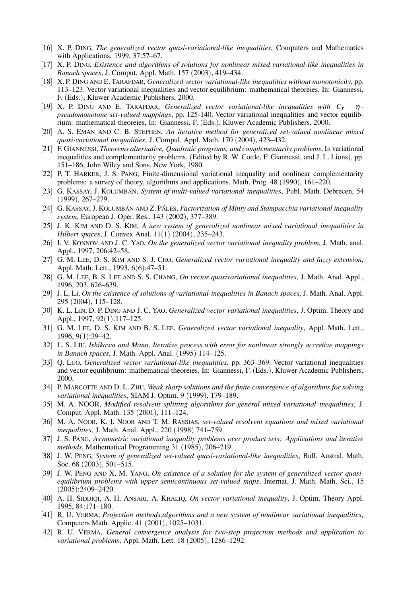- [16] X. P. DING, *The generalized vector quasi-variational-like inequalities*, Computers and Mathematics with Applications, 1999, 37:57–67.
- [17] X. P. DING, *Existence and algorithms of solutions for nonlinear mixed variational-like inequalities in Banach spaces*, J. Comput. Appl. Math. 157 (2003), 419–434.
- [18] X. P. DING AND E. TARAFDAR, *Generalized vector variational-like inequalities without monotonicity*, pp. 113–123. Vector variational inequalities and vector equilibrium: mathematical theoreies, In: Giannessi, F. (Eds.), Kluwer Academic Publishers, 2000.
- [19] X. P. DING AND E. TARAFDAR, *Generalized vector variational-like inequalities with Cx −* <sup>η</sup>  *pseudomonotone set-valued mappings*, pp. 125-140. Vector variational inequalities and vector equilibrium: mathematical theoreies, In: Giannessi, F. (Eds.), Kluwer Academic Publishers, 2000.
- [20] A. S. EMAN AND C. B. STEPHEN, *An iterative method for generalized set-valued nonlinear mixed quasi-variational inequalities*, J. Compul. Appl. Math. 170 (2004), 423–432.
- [21] F. GIANNESSI, *Theorems alternative, Quadratic programs, and complementarity problems*, In variational inequalities and complementarity problems, (Edited by R. W. Cottle, F. Giannessi, and J. L. Lions), pp. 151–186, John Wiley and Sons, New York, 1980.
- [22] P. T. HARKER, J. S. PANG, Finite-dimensional variational inequality and nonlinear complementarity problems: a survey of theory, algorithms and applications, Math. Prog. 48 (1990), 161–220.
- [23] G. KASSAY, J. KOLUMBÁN, *System of multi-valued variational inequalities*, Publ. Math. Debrecen, 54 (1999), 267–279.
- [24] G. KASSAY, J. KOLUMBÁN AND Z. PÁLES, *Factorization of Minty and Stampacchia variational inequality system*, European J. Oper. Res., 143 (2002), 377–389.
- [25] J. K. KIM AND D. S. KIM, *A new system of generalized nonlinear mixed variational inequalities in Hilbert spaces*, J. Convex Anal. 11(1) (2004), 235–243.
- [26] I. V. KONNOV AND J. C. YAO, *On the generalized vector variational inequality problem*, J. Math. anal. Appl., 1997, 206:42–58.
- [27] G. M. LEE, D. S. KIM AND S. J. CHO, *Generalized vector variational inequality and fuzzy extension*, Appl. Math. Lett., 1993, 6(6):47–51.
- [28] G. M. LEE, B. S. LEE AND S. S. CHANG, *On vector quasivariational inequalities*, J. Math. Anal. Appl., 1996, 203, 626–639.
- [29] J. L. LI, *On the existence of solutions of variational-inequalities in Banach spaces*, J. Math. Anal. Appl. 295 (2004), 115–128.
- [30] K. L. LIN, D. P. DING AND J. C. YAO, *Generalized vector variational inequalities*, J. Optim. Theory and Appl., 1997, 92(1):117–125.
- [31] G. M. LEE, D. S. KIM AND B. S. LEE, *Generalized vector variational inequality*, Appl. Math. Lett., 1996, 9(1):39–42.
- [32] L. S. LIU, *Ishikawa and Mann, Iterative process with error for nonlinear strongly accretive mappings in Banach spaces*, J. Math. Appl. Anal. (1995) 114–125.
- [33] Q. LUO, *Generalized vector variational-like inequalities*, pp. 363–369. Vector variational inequalities and vector equilibrium: mathematical theoreies, In: Giannessi, F. (Eds.), Kluwer Academic Publishers, 2000.
- [34] P. MARCOTTE AND D. L. ZHU, *Weak sharp solutions and the finite convergence of algorithms for solving variational inequalities*, SIAM J. Optim. 9 (1999), 179–189.
- [35] M. A. NOOR, *Modified resolvent splitting algorithms for general mixed variational inequalities*, J. Comput. Appl. Math. 135 (2001), 111–124.
- [36] M. A. NOOR, K. I. NOOR AND T. M. RASSIAS, *set-valued resolvent equations and mixed variational inequalities*, J. Math. Anal. Appl., 220 (1998) 741–759.
- [37] J. S. PANG, *Asymmetric variational inequality problems over product sets: Applications and iterative methods*, Mathematical Programming 31 (1985), 206–219.
- [38] J. W. PENG, *System of generalized set-valued quasi-variational-like inequalities*, Bull. Austral. Math. Soc. 68 (2003), 501–515.
- [39] J. W. PENG AND X. M. YANG, *On existence of a solution for the system of generalized vector quasiequilibrium problems with upper semicontinuous set-valued maps*, Internat. J. Math. Math. Sci., 15 (2005):2409–2420.
- [40] A. H. SIDDIQI, A. H. ANSARI, A. KHALIQ, *On vector variational inequality*, J. Optim. Theory Appl. 1995, 84:171–180.
- [41] R. U. VERMA, *Projection methods,algorithms and a new system of nonlinear variational inequalities*, Computers Math. Applic. 41 (2001), 1025–1031.
- [42] R. U. VERMA, *General convergence analysis for two-step projection methods and application to variational problems*, Appl. Math. Lett. 18 (2005), 1286–1292.